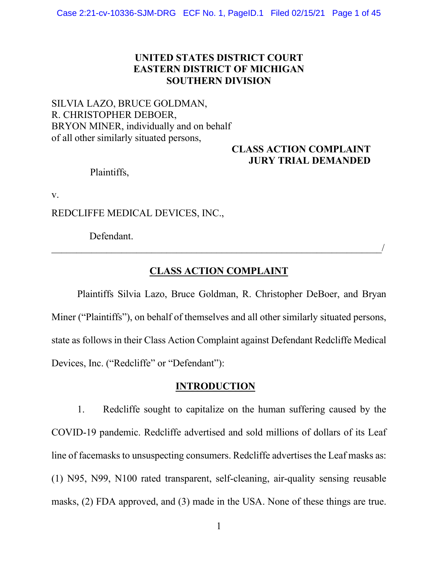### **UNITED STATES DISTRICT COURT EASTERN DISTRICT OF MICHIGAN SOUTHERN DIVISION**

## SILVIA LAZO, BRUCE GOLDMAN, R. CHRISTOPHER DEBOER, BRYON MINER, individually and on behalf of all other similarly situated persons,

### **CLASS ACTION COMPLAINT JURY TRIAL DEMANDED**

Plaintiffs,

v.

REDCLIFFE MEDICAL DEVICES, INC.,

Defendant.

# **CLASS ACTION COMPLAINT**

 $\overline{\phantom{a}}$ 

Plaintiffs Silvia Lazo, Bruce Goldman, R. Christopher DeBoer, and Bryan Miner ("Plaintiffs"), on behalf of themselves and all other similarly situated persons, state as follows in their Class Action Complaint against Defendant Redcliffe Medical Devices, Inc. ("Redcliffe" or "Defendant"):

#### **INTRODUCTION**

1. Redcliffe sought to capitalize on the human suffering caused by the COVID-19 pandemic. Redcliffe advertised and sold millions of dollars of its Leaf line of facemasks to unsuspecting consumers. Redcliffe advertises the Leaf masks as: (1) N95, N99, N100 rated transparent, self-cleaning, air-quality sensing reusable masks, (2) FDA approved, and (3) made in the USA. None of these things are true.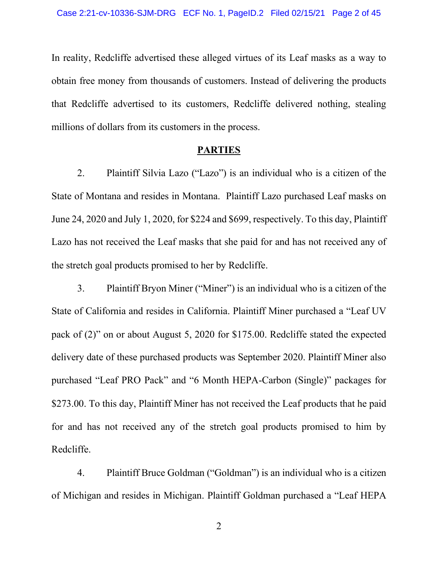In reality, Redcliffe advertised these alleged virtues of its Leaf masks as a way to obtain free money from thousands of customers. Instead of delivering the products that Redcliffe advertised to its customers, Redcliffe delivered nothing, stealing millions of dollars from its customers in the process.

#### **PARTIES**

2. Plaintiff Silvia Lazo ("Lazo") is an individual who is a citizen of the State of Montana and resides in Montana. Plaintiff Lazo purchased Leaf masks on June 24, 2020 and July 1, 2020, for \$224 and \$699, respectively. To this day, Plaintiff Lazo has not received the Leaf masks that she paid for and has not received any of the stretch goal products promised to her by Redcliffe.

3. Plaint iff Bryon Miner ("Miner") is an individual who is a citizen of the State of California and resides in California. Plaintiff Miner purchased a "Leaf UV pack of  $(2)$ " on or about August 5, 2020 for \$175.00. Redcliffe stated the expected delivery date of these purchased products was September 2020. Plaintiff Miner also purchased "Leaf PRO Pack" and "6 Month HEPA-Carbon (Single)" packages for \$273.00. To this day, Plaintiff Miner has not received the Leaf products that he paid for and has not received any of the stretch goal products promised to him by Redcliffe.

4. Plaintiff Bruce Goldman ("Goldman") is an individual who is a citizen of Michigan and resides in Michigan. Plaintiff Goldman purchased a "Leaf HEPA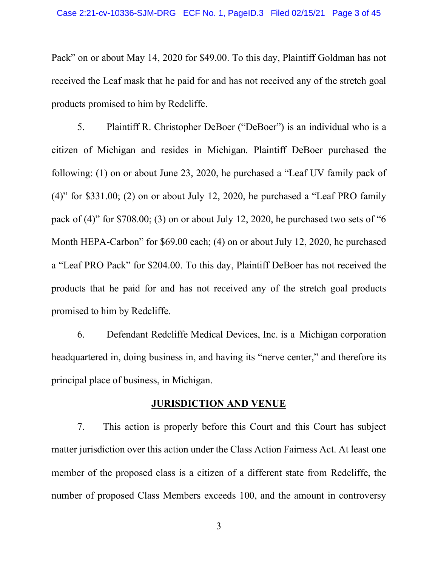Pack" on or about May 14, 2020 for \$49.00. To this day, Plaintiff Goldman has not received the Leaf mask that he paid for and has not received any of the stretch goal products promised to him by Redcliffe.

5. Plaintiff R. Christopher DeBoer ("DeBoer") is an individual who is a citizen of Michigan and resides in Michigan. Plaintiff DeBoer purchased the following: (1) on or about June 23, 2020, he purchased a "Leaf UV family pack of (4)" for  $$331.00$ ; (2) on or about July 12, 2020, he purchased a "Leaf PRO family pack of  $(4)$ " for \$708.00; (3) on or about July 12, 2020, he purchased two sets of "6 Month HEPA-Carbon" for  $$69.00$  each; (4) on or about July 12, 2020, he purchased a "Leaf PRO Pack" for \$204.00. To this day, Plaintiff DeBoer has not received the products that he paid for and has not received any of the stretch goal products promised to him by Redcliffe.

6. Defendant Redcliffe Medical Devices, Inc. is a Michigan corporation headquartered in, doing business in, and having its "nerve center," and therefore its principal place of business, in Michigan.

### **JURISDICTION AND VENUE**

7. This action is properly before this Court and this Court has subject matter jurisdiction over this action under the Class Action Fairness Act. At least one member of the proposed class is a citizen of a different state from Redcliffe, the number of proposed Class Members exceeds 100, and the amount in controversy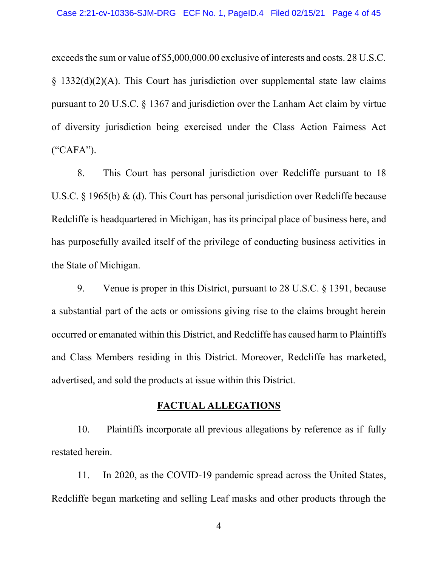exceeds the sum or value of \$5,000,000.00 exclusive of interests and costs. 28 U.S.C. § 1332(d)(2)(A). This Court has jurisdiction over supplemental state law claims pursuant to 20 U.S.C. § 1367 and jurisdiction over the Lanham Act claim by virtue of diversity jurisdiction being exercised under the Class Action Fairness Act  $(*\mathsf{CAFA}$ ").

8. This Court has personal jurisdiction over Redcliffe pursuant to 18 U.S.C. § 1965(b) & (d). This Court has personal jurisdiction over Redcliffe because Redcliffe is headquartered in Michigan, has its principal place of business here, and has purposefully availed itself of the privilege of conducting business activities in the State of Michigan.

9. Venue is proper in this District, pursuant to 28 U.S.C. § 1391, because a substantial part of the acts or omissions giving rise to the claims brought herein occurred or emanated within this District, and Redcliffe has caused harm to Plaintiffs and Class Members residing in this District. Moreover, Redcliffe has marketed, advertised, and sold the products at issue within this District.

#### **FACTUAL ALLEGATIONS**

10. Plaintiffs incorporate all previous allegations by reference as if fully restated herein.

11. In 2020, as the COVID-19 pandemic spread across the United States, Redcliffe began marketing and selling Leaf masks and other products through the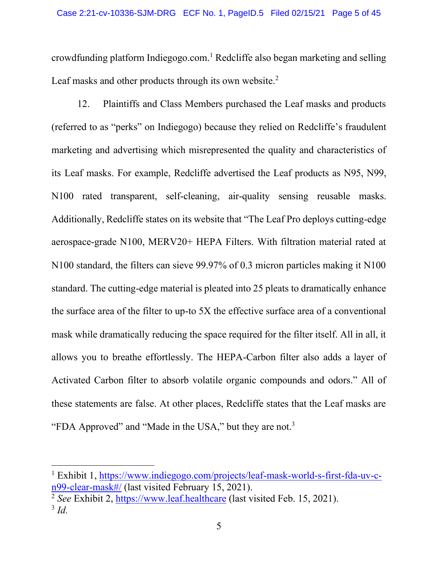crowdfunding platform Indiegogo.com.<sup>1</sup> Redcliffe also began marketing and selling Leaf masks and other products through its own website.<sup>2</sup>

12. Plaintiffs and Class Members purchased the Leaf masks and products (referred to as "perks" on Indiegogo) because they relied on Redcliffe's fraudulent marketing and advertising which misrepresented the quality and characteristics of its Leaf masks. For example, Redcliffe advertised the Leaf products as N95, N99, N100 rated transparent, self-cleaning, air-quality sensing reusable masks. Additionally, Redcliffe states on its website that "The Leaf Pro deploys cutting-edge aerospace-grade N100, MERV20+ HEPA Filters. With filtration material rated at N100 standard, the filters can sieve 99.97% of 0.3 micron particles making it N100 standard. The cutting-edge material is pleated into 25 pleats to dramatically enhance the surface area of the filter to up-to 5X the effective surface area of a conventional mask while dramatically reducing the space required for the filter itself. All in all, it allows you to breathe effortlessly. The HEPA-Carbon filter also adds a layer of Activated Carbon filter to absorb volatile organic compounds and odors.´ All of these statements are false. At other places, Redcliffe states that the Leaf masks are "FDA Approved" and "Made in the USA," but they are not.<sup>3</sup>

<sup>&</sup>lt;sup>1</sup> Exhibit 1, [https://www.indiegogo.com/projects/leaf-mask-world-s-first-fda-uv-c](https://www.indiegogo.com/projects/leaf-mask-world-s-first-fda-uv-c-n99-clear-mask%23/)[n99-clear-mask#/](https://www.indiegogo.com/projects/leaf-mask-world-s-first-fda-uv-c-n99-clear-mask%23/) (last visited February 15, 2021).

<sup>2</sup> *See* Exhibit 2, [https://www.leaf.healthcare](https://www.leaf.healthcare/) (last visited Feb. 15, 2021). <sup>3</sup> *Id.*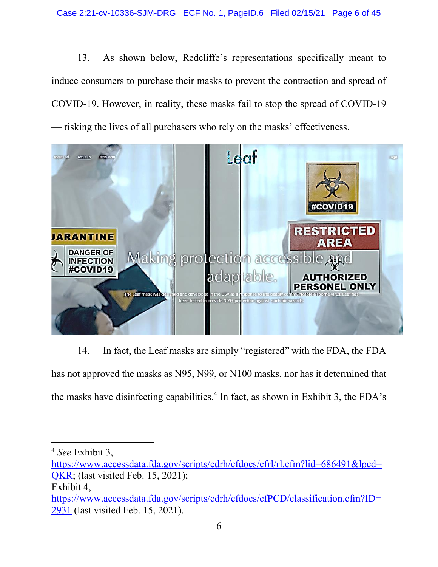13. As shown below, Redcliffe's representations specifically meant to induce consumers to purchase their masks to prevent the contraction and spread of COVID-19. However, in reality, these masks fail to stop the spread of COVID-19 — risking the lives of all purchasers who rely on the masks' effectiveness.



14. In fact, the Leaf masks are simply "registered" with the FDA, the FDA has not approved the masks as N95, N99, or N100 masks, nor has it determined that the masks have disinfecting capabilities.<sup>4</sup> In fact, as shown in Exhibit 3, the FDA's

<sup>4</sup> *See* Exhibit 3,

[https://www.accessdata.fda.gov/scripts/cdrh/cfdocs/cfrl/rl.cfm?lid=686491&lpcd=](https://www.accessdata.fda.gov/scripts/cdrh/cfdocs/cfrl/rl.cfm?lid=686491&lpcd=QKR) [QKR;](https://www.accessdata.fda.gov/scripts/cdrh/cfdocs/cfrl/rl.cfm?lid=686491&lpcd=QKR) (last visited Feb. 15, 2021);

Exhibit 4,

[https://www.accessdata.fda.gov/scripts/cdrh/cfdocs/cfPCD/classification.cfm?ID=](https://www.accessdata.fda.gov/scripts/cdrh/cfdocs/cfPCD/classification.cfm?ID=2931) [2931](https://www.accessdata.fda.gov/scripts/cdrh/cfdocs/cfPCD/classification.cfm?ID=2931) (last visited Feb. 15, 2021).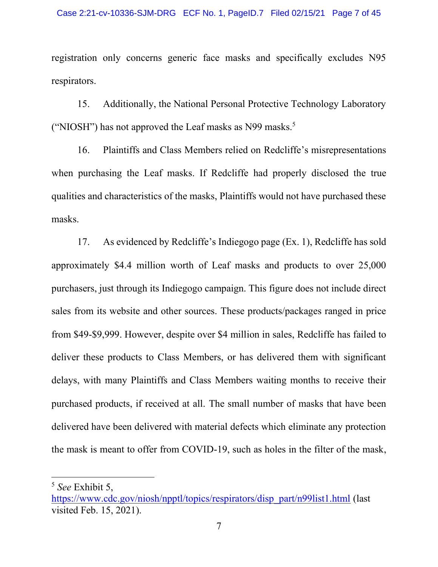registration only concerns generic face masks and specifically excludes N95 respirators.

15. Additionally, the National Personal Protective Technology Laboratory ("NIOSH") has not approved the Leaf masks as N99 masks.<sup>5</sup>

16. Plaintiffs and Class Members relied on Redcliffe's misrepresentations when purchasing the Leaf masks. If Redcliffe had properly disclosed the true qualities and characteristics of the masks, Plaintiffs would not have purchased these masks.

17. As evidenced by Redcliffe's Indiegogo page (Ex. 1), Redcliffe has sold approximately \$4.4 million worth of Leaf masks and products to over 25,000 purchasers, just through its Indiegogo campaign. This figure does not include direct sales from its website and other sources. These products/packages ranged in price from \$49-\$9,999. However, despite over \$4 million in sales, Redcliffe has failed to deliver these products to Class Members, or has delivered them with significant delays, with many Plaintiffs and Class Members waiting months to receive their purchased products, if received at all. The small number of masks that have been delivered have been delivered with material defects which eliminate any protection the mask is meant to offer from COVID-19, such as holes in the filter of the mask,

<sup>5</sup> *See* Exhibit 5,

[https://www.cdc.gov/niosh/npptl/topics/respirators/disp\\_part/n99list1.html](https://www.cdc.gov/niosh/npptl/topics/respirators/disp_part/n99list1.html) (last visited Feb. 15, 2021).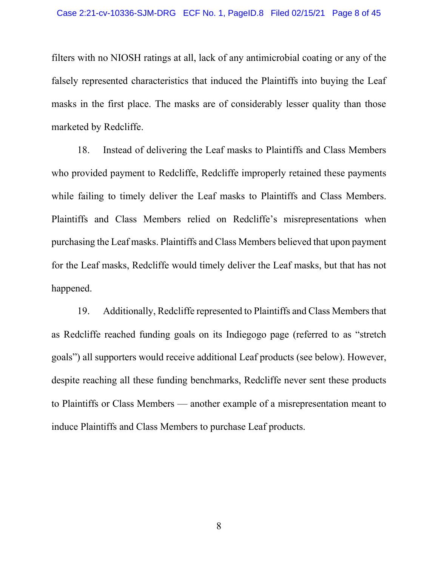filters with no NIOSH ratings at all, lack of any antimicrobial coating or any of the falsely represented characteristics that induced the Plaintiffs into buying the Leaf masks in the first place. The masks are of considerably lesser quality than those marketed by Redcliffe.

18. Instead of delivering the Leaf masks to Plaintiffs and Class Members who provided payment to Redcliffe, Redcliffe improperly retained these payments while failing to timely deliver the Leaf masks to Plaintiffs and Class Members. Plaintiffs and Class Members relied on Redcliffe's misrepresentations when purchasing the Leaf masks. Plaintiffs and Class Members believed that upon payment for the Leaf masks, Redcliffe would timely deliver the Leaf masks, but that has not happened.

19. Additionally, Redcliffe represented to Plaintiffs and Class Members that as Redcliffe reached funding goals on its Indiegogo page (referred to as "stretch goals") all supporters would receive additional Leaf products (see below). However, despite reaching all these funding benchmarks, Redcliffe never sent these products to Plaintiffs or Class Members — another example of a misrepresentation meant to induce Plaintiffs and Class Members to purchase Leaf products.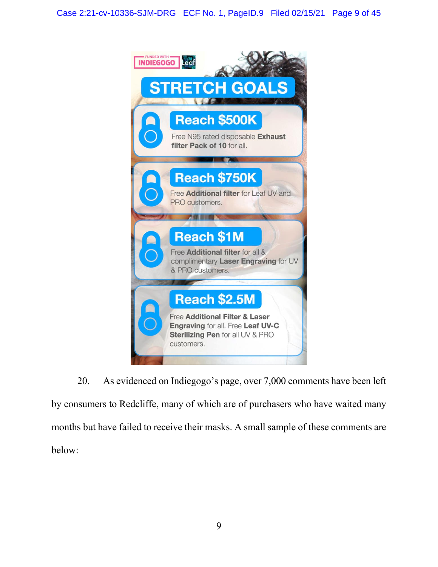

20. As evidenced on Indiegogo's page, over 7,000 comments have been left by consumers to Redcliffe, many of which are of purchasers who have waited many months but have failed to receive their masks. A small sample of these comments are below: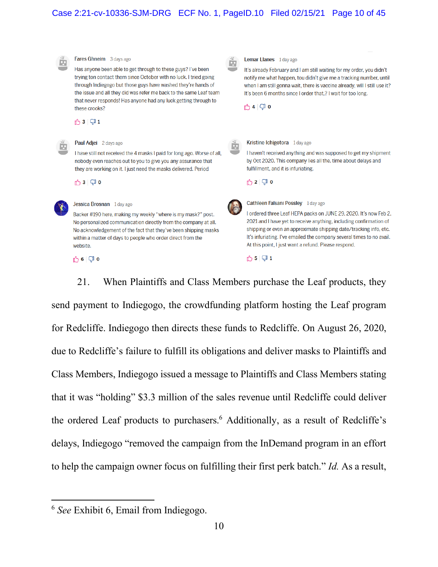#### Case 2:21-cv-10336-SJM-DRG ECF No. 1, PageID.10 Filed 02/15/21 Page 10 of 45



21. When Plaintiffs and Class Members purchase the Leaf products, they send payment to Indiegogo, the crowdfunding platform hosting the Leaf program for Redcliffe. Indiegogo then directs these funds to Redcliffe. On August 26, 2020, due to Redcliffe's failure to fulfill its obligations and deliver masks to Plaintiffs and Class Members, Indiegogo issued a message to Plaintiffs and Class Members stating that it was "holding" \$3.3 million of the sales revenue until Redcliffe could deliver the ordered Leaf products to purchasers.<sup>6</sup> Additionally, as a result of Redcliffe's delays, Indiegogo "removed the campaign from the InDemand program in an effort to help the campaign owner focus on fulfilling their first perk batch.<sup>"</sup> *Id.* As a result,

<sup>6</sup> *See* Exhibit 6, Email from Indiegogo.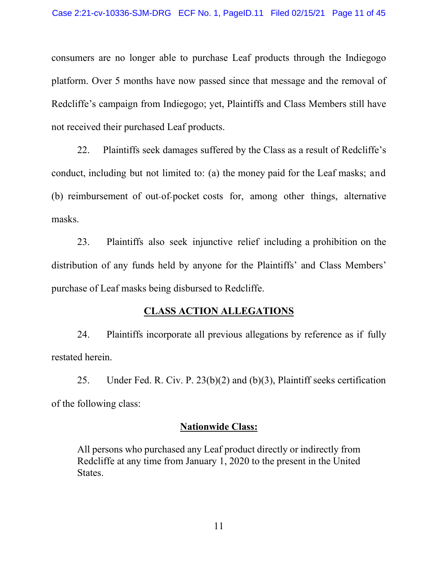consumers are no longer able to purchase Leaf products through the Indiegogo platform. Over 5 months have now passed since that message and the removal of Redcliffe's campaign from Indiegogo; yet, Plaintiffs and Class Members still have not received their purchased Leaf products.

22. Plaintiffs seek damages suffered by the Class as a result of Redcliffe's conduct, including but not limited to: (a) the money paid for the Leaf masks; and (b) reimbursement of out-of-pocket costs for, among other things, alternative masks.

23. Plaintiffs also seek injunctive relief including a prohibition on the distribution of any funds held by anyone for the Plaintiffs' and Class Members' purchase of Leaf masks being disbursed to Redcliffe.

### **CLASS ACTION ALLEGATIONS**

24. Plaintiffs incorporate all previous allegations by reference as if fully restated herein.

25. Under Fed. R. Civ. P. 23(b)(2) and (b)(3), Plaintiff seeks certification of the following class:

### **Nationwide Class:**

All persons who purchased any Leaf product directly or indirectly from Redcliffe at any time from January 1, 2020 to the present in the United States.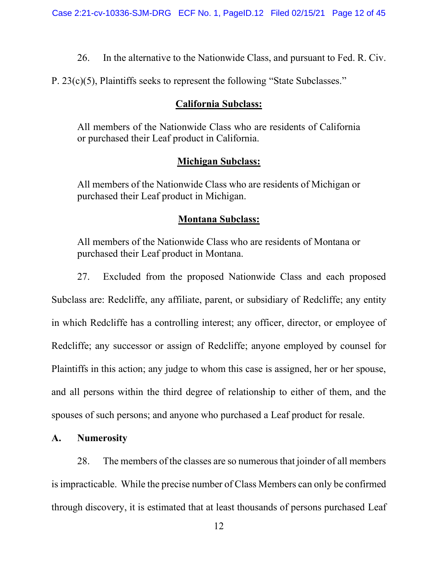26. In the alternative to the Nationwide Class, and pursuant to Fed. R. Civ.

P.  $23(c)(5)$ , Plaintiffs seeks to represent the following "State Subclasses."

### **California Subclass:**

All members of the Nationwide Class who are residents of California or purchased their Leaf product in California.

# **Michigan Subclass:**

All members of the Nationwide Class who are residents of Michigan or purchased their Leaf product in Michigan.

## **Montana Subclass:**

All members of the Nationwide Class who are residents of Montana or purchased their Leaf product in Montana.

27. Excluded from the proposed Nationwide Class and each proposed

Subclass are: Redcliffe, any affiliate, parent, or subsidiary of Redcliffe; any entity in which Redcliffe has a controlling interest; any officer, director, or employee of Redcliffe; any successor or assign of Redcliffe; anyone employed by counsel for Plaintiffs in this action; any judge to whom this case is assigned, her or her spouse, and all persons within the third degree of relationship to either of them, and the spouses of such persons; and anyone who purchased a Leaf product for resale.

## **A. Numerosity**

28. The members of the classes are so numerous that joinder of all members is impracticable. While the precise number of Class Members can only be confirmed through discovery, it is estimated that at least thousands of persons purchased Leaf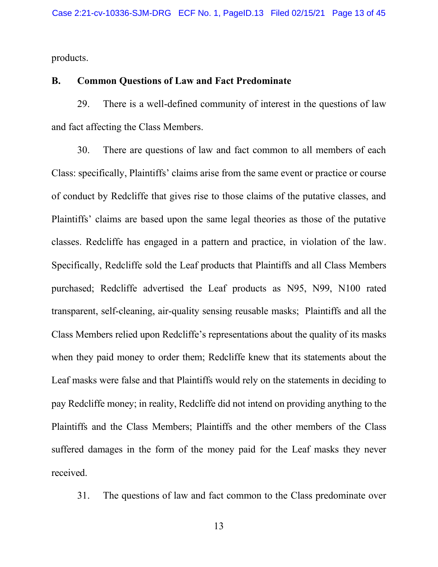products.

#### **B. Common Questions of Law and Fact Predominate**

29. There is a well-defined community of interest in the questions of law and fact affecting the Class Members.

30. There are questions of law and fact common to all members of each Class: specifically, Plaintiffs' claims arise from the same event or practice or course of conduct by Redcliffe that gives rise to those claims of the putative classes, and Plaintiffs' claims are based upon the same legal theories as those of the putative classes. Redcliffe has engaged in a pattern and practice, in violation of the law. Specifically, Redcliffe sold the Leaf products that Plaintiffs and all Class Members purchased; Redcliffe advertised the Leaf products as N95, N99, N100 rated transparent, self-cleaning, air-quality sensing reusable masks; Plaintiffs and all the Class Members relied upon Redcliffe's representations about the quality of its masks when they paid money to order them; Redcliffe knew that its statements about the Leaf masks were false and that Plaintiffs would rely on the statements in deciding to pay Redcliffe money; in reality, Redcliffe did not intend on providing anything to the Plaintiffs and the Class Members; Plaintiffs and the other members of the Class suffered damages in the form of the money paid for the Leaf masks they never received.

31. The questions of law and fact common to the Class predominate over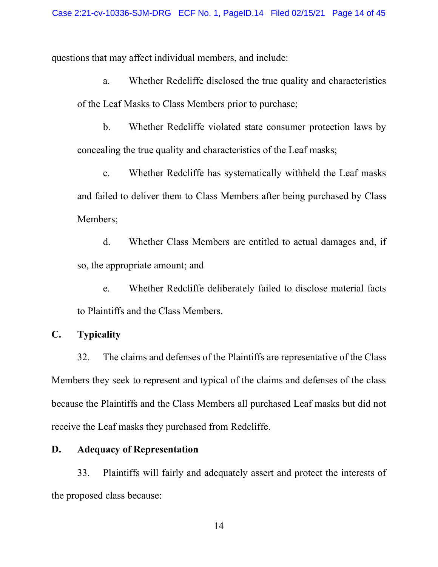questions that may affect individual members, and include:

a. Whether Redcliffe disclosed the true quality and characteristics of the Leaf Masks to Class Members prior to purchase;

b. Whether Redcliffe violated state consumer protection laws by concealing the true quality and characteristics of the Leaf masks;

c. Whether Redcliffe has systematically withheld the Leaf masks and failed to deliver them to Class Members after being purchased by Class Members;

d. Whether Class Members are entitled to actual damages and, if so, the appropriate amount; and

e. Whether Redcliffe deliberately failed to disclose material facts to Plaintiffs and the Class Members.

### **C. Typicality**

32. The claims and defenses of the Plaintiffs are representative of the Class Members they seek to represent and typical of the claims and defenses of the class because the Plaintiffs and the Class Members all purchased Leaf masks but did not receive the Leaf masks they purchased from Redcliffe.

## **D. Adequacy of Representation**

33. Plaintiffs will fairly and adequately assert and protect the interests of the proposed class because: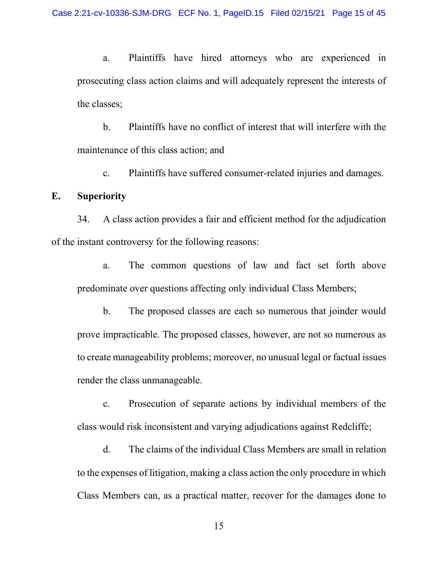a. Plaintiffs have hired attorneys who are experienced in prosecuting class action claims and will adequately represent the interests of the classes;

b. Plaintiffs have no conflict of interest that will interfere with the maintenance of this class action; and

c. Plaintiffs have suffered consumer-related injuries and damages.

#### **E. Superiority**

34. A class action provides a fair and efficient method for the adjudication of the instant controversy for the following reasons:

a. The common questions of law and fact set forth above predominate over questions affecting only individual Class Members;

b. The proposed classes are each so numerous that joinder would prove impracticable. The proposed classes, however, are not so numerous as to create manageability problems; moreover, no unusual legal or factual issues render the class unmanageable.

c. Prosecution of separate actions by individual members of the class would risk inconsistent and varying adjudications against Redcliffe;

d. The claims of the individual Class Members are small in relation to the expenses of litigation, making a class action the only procedure in which Class Members can, as a practical matter, recover for the damages done to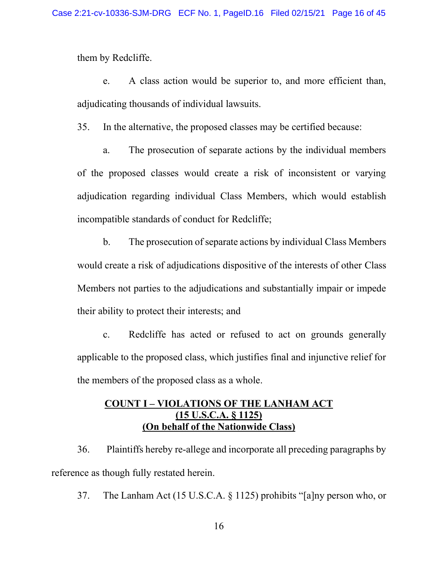them by Redcliffe.

e. A class action would be superior to, and more efficient than, adjudicating thousands of individual lawsuits.

35. In the alternative, the proposed classes may be certified because:

a. The prosecution of separate actions by the individual members of the proposed classes would create a risk of inconsistent or varying adjudication regarding individual Class Members, which would establish incompatible standards of conduct for Redcliffe;

b. The prosecution of separate actions by individual Class Members would create a risk of adjudications dispositive of the interests of other Class Members not parties to the adjudications and substantially impair or impede their ability to protect their interests; and

c. Redcliffe has acted or refused to act on grounds generally applicable to the proposed class, which justifies final and injunctive relief for the members of the proposed class as a whole.

### **COUNT I ± VIOLATIONS OF THE LANHAM ACT (15 U.S.C.A. § 1125) (On behalf of the Nationwide Class)**

36. Plaintiffs hereby re-allege and incorporate all preceding paragraphs by reference as though fully restated herein.

37. The Lanham Act (15 U.S.C.A.  $\S$  1125) prohibits "[a]ny person who, or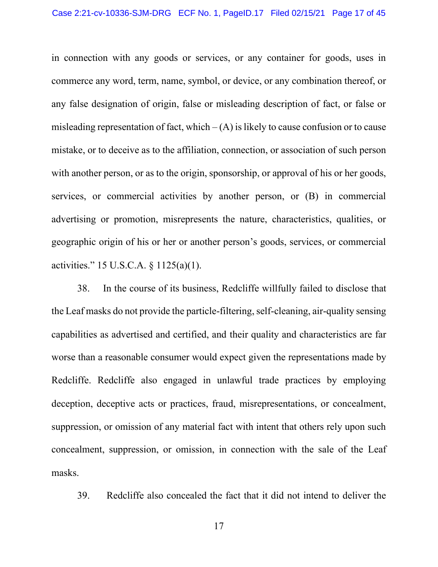in connection with any goods or services, or any container for goods, uses in commerce any word, term, name, symbol, or device, or any combination thereof, or any false designation of origin, false or misleading description of fact, or false or misleading representation of fact, which  $-(A)$  is likely to cause confusion or to cause mistake, or to deceive as to the affiliation, connection, or association of such person with another person, or as to the origin, sponsorship, or approval of his or her goods, services, or commercial activities by another person, or (B) in commercial advertising or promotion, misrepresents the nature, characteristics, qualities, or geographic origin of his or her or another person's goods, services, or commercial activities." 15 U.S.C.A.  $\S 1125(a)(1)$ .

38. In the course of its business, Redcliffe willfully failed to disclose that the Leaf masks do not provide the particle-filtering, self-cleaning, air-quality sensing capabilities as advertised and certified, and their quality and characteristics are far worse than a reasonable consumer would expect given the representations made by Redcliffe. Redcliffe also engaged in unlawful trade practices by employing deception, deceptive acts or practices, fraud, misrepresentations, or concealment, suppression, or omission of any material fact with intent that others rely upon such concealment, suppression, or omission, in connection with the sale of the Leaf masks.

39. Redcliffe also concealed the fact that it did not intend to deliver the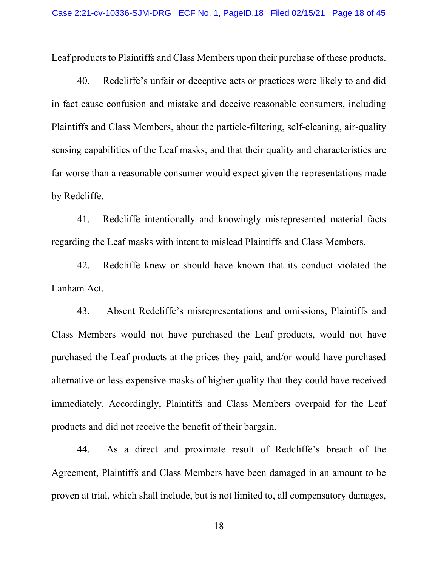Leaf products to Plaintiffs and Class Members upon their purchase of these products.

40. Redcliffe's unfair or deceptive acts or practices were likely to and did in fact cause confusion and mistake and deceive reasonable consumers, including Plaintiffs and Class Members, about the particle-filtering, self-cleaning, air-quality sensing capabilities of the Leaf masks, and that their quality and characteristics are far worse than a reasonable consumer would expect given the representations made by Redcliffe.

41. Redcliffe intentionally and knowingly misrepresented material facts regarding the Leaf masks with intent to mislead Plaintiffs and Class Members.

42. Redcliffe knew or should have known that its conduct violated the Lanham Act.

43. Absent Redcliffe's misrepresentations and omissions, Plaintiffs and Class Members would not have purchased the Leaf products, would not have purchased the Leaf products at the prices they paid, and/or would have purchased alternative or less expensive masks of higher quality that they could have received immediately. Accordingly, Plaintiffs and Class Members overpaid for the Leaf products and did not receive the benefit of their bargain.

44. As a direct and proximate result of Redcliffe's breach of the Agreement, Plaintiffs and Class Members have been damaged in an amount to be proven at trial, which shall include, but is not limited to, all compensatory damages,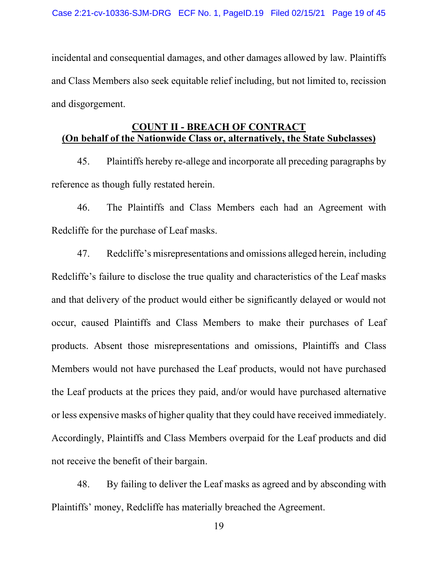incidental and consequential damages, and other damages allowed by law. Plaintiffs and Class Members also seek equitable relief including, but not limited to, recission and disgorgement.

# **COUNT II - BREACH OF CONTRACT (On behalf of the Nationwide Class or, alternatively, the State Subclasses)**

45. Plaintiffs hereby re-allege and incorporate all preceding paragraphs by reference as though fully restated herein.

46. The Plaintiffs and Class Members each had an Agreement with Redcliffe for the purchase of Leaf masks.

47. Redcliffe's misrepresentations and omissions alleged herein, including Redcliffe's failure to disclose the true quality and characteristics of the Leaf masks and that delivery of the product would either be significantly delayed or would not occur, caused Plaintiffs and Class Members to make their purchases of Leaf products. Absent those misrepresentations and omissions, Plaintiffs and Class Members would not have purchased the Leaf products, would not have purchased the Leaf products at the prices they paid, and/or would have purchased alternative or less expensive masks of higher quality that they could have received immediately. Accordingly, Plaintiffs and Class Members overpaid for the Leaf products and did not receive the benefit of their bargain.

48. By failing to deliver the Leaf masks as agreed and by absconding with Plaintiffs' money, Redcliffe has materially breached the Agreement.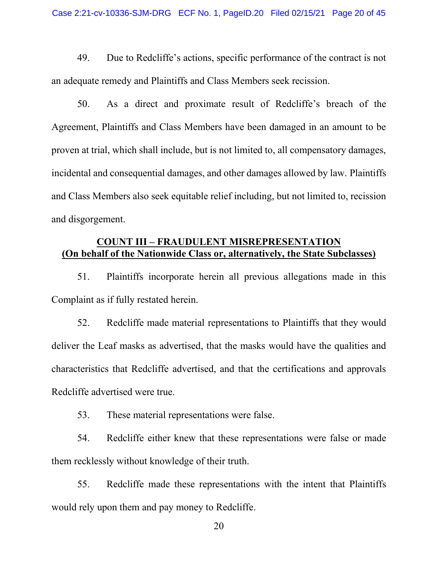49. Due to Redcliffe's actions, specific performance of the contract is not an adequate remedy and Plaintiffs and Class Members seek recission.

50. As a direct and proximate result of Redcliffe's breach of the Agreement, Plaintiffs and Class Members have been damaged in an amount to be proven at trial, which shall include, but is not limited to, all compensatory damages, incidental and consequential damages, and other damages allowed by law. Plaintiffs and Class Members also seek equitable relief including, but not limited to, recission and disgorgement.

## **COUNT III ± FRAUDULENT MISREPRESENTATION (On behalf of the Nationwide Class or, alternatively, the State Subclasses)**

51. Plaintiffs incorporate herein all previous allegations made in this Complaint as if fully restated herein.

52. Redcliffe made material representations to Plaintiffs that they would deliver the Leaf masks as advertised, that the masks would have the qualities and characteristics that Redcliffe advertised, and that the certifications and approvals Redcliffe advertised were true.

53. These material representations were false.

54. Redcliffe either knew that these representations were false or made them recklessly without knowledge of their truth.

55. Redcliffe made these representations with the intent that Plaintiffs would rely upon them and pay money to Redcliffe.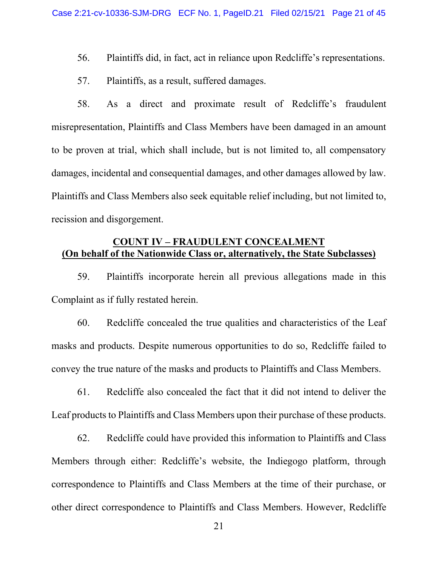- 56. Plaintiffs did, in fact, act in reliance upon Redcliffe's representations.
- 57. Plaintiffs, as a result, suffered damages.

58. As a direct and proximate result of Redcliffe's fraudulent misrepresentation, Plaintiffs and Class Members have been damaged in an amount to be proven at trial, which shall include, but is not limited to, all compensatory damages, incidental and consequential damages, and other damages allowed by law. Plaintiffs and Class Members also seek equitable relief including, but not limited to, recission and disgorgement.

# **COUNT IV ± FRAUDULENT CONCEALMENT (On behalf of the Nationwide Class or, alternatively, the State Subclasses)**

59. Plaintiffs incorporate herein all previous allegations made in this Complaint as if fully restated herein.

60. Redcliffe concealed the true qualities and characteristics of the Leaf masks and products. Despite numerous opportunities to do so, Redcliffe failed to convey the true nature of the masks and products to Plaintiffs and Class Members.

61. Redcliffe also concealed the fact that it did not intend to deliver the Leaf products to Plaintiffs and Class Members upon their purchase of these products.

62. Redcliffe could have provided this information to Plaintiffs and Class Members through either: Redcliffe's website, the Indiegogo platform, through correspondence to Plaintiffs and Class Members at the time of their purchase, or other direct correspondence to Plaintiffs and Class Members. However, Redcliffe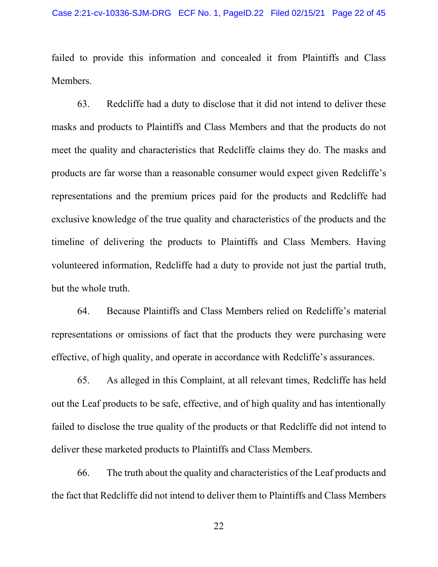failed to provide this information and concealed it from Plaintiffs and Class Members.

63. Redcliffe had a duty to disclose that it did not intend to deliver these masks and products to Plaintiffs and Class Members and that the products do not meet the quality and characteristics that Redcliffe claims they do. The masks and products are far worse than a reasonable consumer would expect given Redcliffe's representations and the premium prices paid for the products and Redcliffe had exclusive knowledge of the true quality and characteristics of the products and the timeline of delivering the products to Plaintiffs and Class Members. Having volunteered information, Redcliffe had a duty to provide not just the partial truth, but the whole truth.

64. Because Plaintiffs and Class Members relied on Redcliffe's material representations or omissions of fact that the products they were purchasing were effective, of high quality, and operate in accordance with Redcliffe's assurances.

65. As alleged in this Complaint, at all relevant times, Redcliffe has held out the Leaf products to be safe, effective, and of high quality and has intentionally failed to disclose the true quality of the products or that Redcliffe did not intend to deliver these marketed products to Plaintiffs and Class Members.

66. The truth about the quality and characteristics of the Leaf products and the fact that Redcliffe did not intend to deliver them to Plaintiffs and Class Members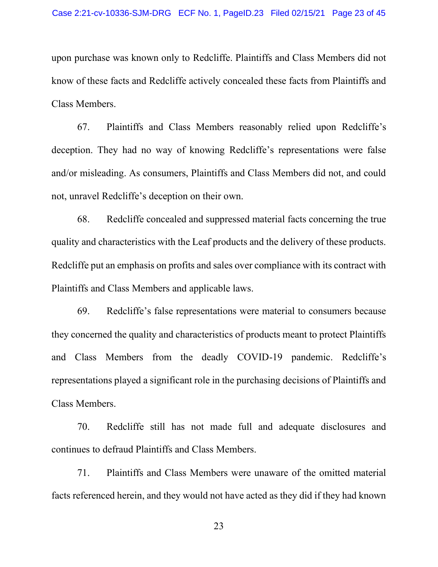upon purchase was known only to Redcliffe. Plaintiffs and Class Members did not know of these facts and Redcliffe actively concealed these facts from Plaintiffs and Class Members.

67. Plaintiffs and Class Members reasonably relied upon Redcliffe's deception. They had no way of knowing Redcliffe's representations were false and/or misleading. As consumers, Plaintiffs and Class Members did not, and could not, unravel Redcliffe's deception on their own.

68. Redcliffe concealed and suppressed material facts concerning the true quality and characteristics with the Leaf products and the delivery of these products. Redcliffe put an emphasis on profits and sales over compliance with its contract with Plaintiffs and Class Members and applicable laws.

69. Redcliffe's false representations were material to consumers because they concerned the quality and characteristics of products meant to protect Plaintiffs and Class Members from the deadly COVID-19 pandemic. Redcliffe's representations played a significant role in the purchasing decisions of Plaintiffs and Class Members.

70. Redcliffe still has not made full and adequate disclosures and continues to defraud Plaintiffs and Class Members.

71. Plaintiffs and Class Members were unaware of the omitted material facts referenced herein, and they would not have acted as they did if they had known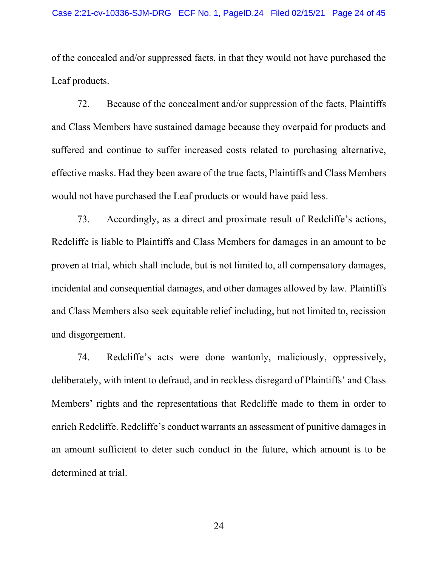of the concealed and/or suppressed facts, in that they would not have purchased the Leaf products.

72. Because of the concealment and/or suppression of the facts, Plaintiffs and Class Members have sustained damage because they overpaid for products and suffered and continue to suffer increased costs related to purchasing alternative, effective masks. Had they been aware of the true facts, Plaintiffs and Class Members would not have purchased the Leaf products or would have paid less.

73. Accordingly, as a direct and proximate result of Redcliffe's actions, Redcliffe is liable to Plaintiffs and Class Members for damages in an amount to be proven at trial, which shall include, but is not limited to, all compensatory damages, incidental and consequential damages, and other damages allowed by law. Plaintiffs and Class Members also seek equitable relief including, but not limited to, recission and disgorgement.

74. Redcliffe's acts were done wantonly, maliciously, oppressively, deliberately, with intent to defraud, and in reckless disregard of Plaintiffs' and Class Members' rights and the representations that Redcliffe made to them in order to enrich Redcliffe. Redcliffe's conduct warrants an assessment of punitive damages in an amount sufficient to deter such conduct in the future, which amount is to be determined at trial.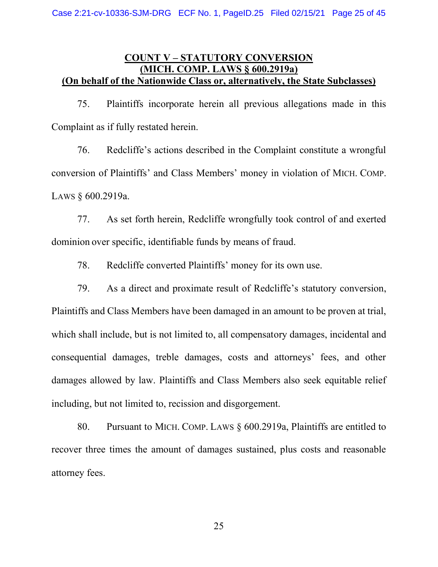## **COUNT V ± STATUTORY CONVERSION (MICH. COMP. LAWS § 600.2919a) (On behalf of the Nationwide Class or, alternatively, the State Subclasses)**

75. Plaintiffs incorporate herein all previous allegations made in this Complaint as if fully restated herein.

76. Redcliffe's actions described in the Complaint constitute a wrongful conversion of Plaintiffs' and Class Members' money in violation of MICH. COMP. LAWS § 600.2919a.

77. As set forth herein, Redcliffe wrongfully took control of and exerted dominion over specific, identifiable funds by means of fraud.

78. Redcliffe converted Plaintiffs' money for its own use.

79. As a direct and proximate result of Redcliffe's statutory conversion, Plaintiffs and Class Members have been damaged in an amount to be proven at trial, which shall include, but is not limited to, all compensatory damages, incidental and consequential damages, treble damages, costs and attorneys' fees, and other damages allowed by law. Plaintiffs and Class Members also seek equitable relief including, but not limited to, recission and disgorgement.

80. Pursuant to MICH. COMP. LAWS § 600.2919a, Plaintiffs are entitled to recover three times the amount of damages sustained, plus costs and reasonable attorney fees.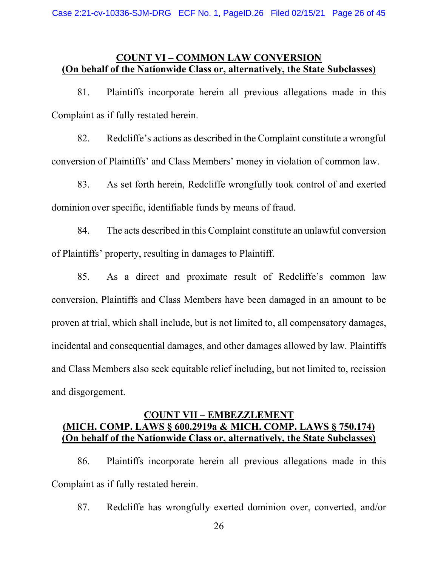## **COUNT VI ± COMMON LAW CONVERSION (On behalf of the Nationwide Class or, alternatively, the State Subclasses)**

81. Plaintiffs incorporate herein all previous allegations made in this Complaint as if fully restated herein.

82. Redcliffe's actions as described in the Complaint constitute a wrongful conversion of Plaintiffs' and Class Members' money in violation of common law.

83. As set forth herein, Redcliffe wrongfully took control of and exerted dominion over specific, identifiable funds by means of fraud.

84. The acts described in this Complaint constitute an unlawful conversion of Plaintiffs' property, resulting in damages to Plaintiff.

85. As a direct and proximate result of Redcliffe's common law conversion, Plaintiffs and Class Members have been damaged in an amount to be proven at trial, which shall include, but is not limited to, all compensatory damages, incidental and consequential damages, and other damages allowed by law. Plaintiffs and Class Members also seek equitable relief including, but not limited to, recission and disgorgement.

## **COUNT VII ± EMBEZZLEMENT (MICH. COMP. LAWS § 600.2919a & MICH. COMP. LAWS § 750.174) (On behalf of the Nationwide Class or, alternatively, the State Subclasses)**

86. Plaintiffs incorporate herein all previous allegations made in this Complaint as if fully restated herein.

87. Redcliffe has wrongfully exerted dominion over, converted, and/or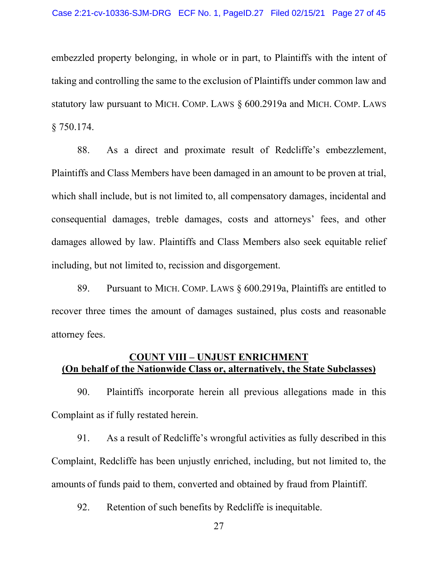embezzled property belonging, in whole or in part, to Plaintiffs with the intent of taking and controlling the same to the exclusion of Plaintiffs under common law and statutory law pursuant to MICH. COMP. LAWS § 600.2919a and MICH. COMP. LAWS § 750.174.

88. As a direct and proximate result of Redcliffe's embezzlement, Plaintiffs and Class Members have been damaged in an amount to be proven at trial, which shall include, but is not limited to, all compensatory damages, incidental and consequential damages, treble damages, costs and attorneys' fees, and other damages allowed by law. Plaintiffs and Class Members also seek equitable relief including, but not limited to, recission and disgorgement.

89. Pursuant to MICH. COMP. LAWS § 600.2919a, Plaintiffs are entitled to recover three times the amount of damages sustained, plus costs and reasonable attorney fees.

## **COUNT VIII ± UNJUST ENRICHMENT (On behalf of the Nationwide Class or, alternatively, the State Subclasses)**

90. Plaintiffs incorporate herein all previous allegations made in this Complaint as if fully restated herein.

91. As a result of Redcliffe's wrongful activities as fully described in this Complaint, Redcliffe has been unjustly enriched, including, but not limited to, the amounts of funds paid to them, converted and obtained by fraud from Plaintiff.

92. Retention of such benefits by Redcliffe is inequitable.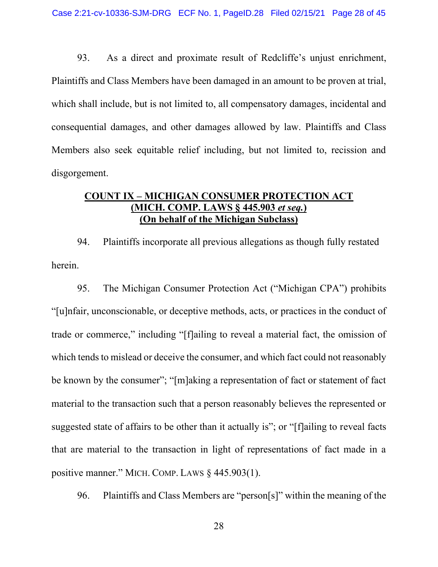93. As a direct and proximate result of Redcliffe's unjust enrichment, Plaintiffs and Class Members have been damaged in an amount to be proven at trial, which shall include, but is not limited to, all compensatory damages, incidental and consequential damages, and other damages allowed by law. Plaintiffs and Class Members also seek equitable relief including, but not limited to, recission and disgorgement.

### **COUNT IX ± MICHIGAN CONSUMER PROTECTION ACT (MICH. COMP. LAWS § 445.903** *et seq.***) (On behalf of the Michigan Subclass)**

94. Plaintiffs incorporate all previous allegations as though fully restated herein.

95. The Michigan Consumer Protection Act ("Michigan CPA") prohibits ³[u]nfair, unconscionable, or deceptive methods, acts, or practices in the conduct of trade or commerce," including "[f]ailing to reveal a material fact, the omission of which tends to mislead or deceive the consumer, and which fact could not reasonably be known by the consumer"; "[m]aking a representation of fact or statement of fact material to the transaction such that a person reasonably believes the represented or suggested state of affairs to be other than it actually is"; or "[f]ailing to reveal facts that are material to the transaction in light of representations of fact made in a positive manner." MICH. COMP. LAWS  $§$  445.903(1).

96. Plaintiffs and Class Members are "person[s]" within the meaning of the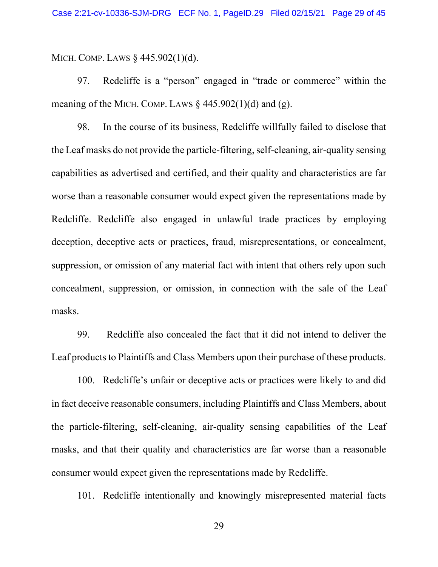MICH. COMP. LAWS § 445.902(1)(d).

97. Redcliffe is a "person" engaged in "trade or commerce" within the meaning of the MICH. COMP. LAWS  $\&$  445.902(1)(d) and (g).

98. In the course of its business, Redcliffe willfully failed to disclose that the Leaf masks do not provide the particle-filtering, self-cleaning, air-quality sensing capabilities as advertised and certified, and their quality and characteristics are far worse than a reasonable consumer would expect given the representations made by Redcliffe. Redcliffe also engaged in unlawful trade practices by employing deception, deceptive acts or practices, fraud, misrepresentations, or concealment, suppression, or omission of any material fact with intent that others rely upon such concealment, suppression, or omission, in connection with the sale of the Leaf masks.

99. Redcliffe also concealed the fact that it did not intend to deliver the Leaf products to Plaintiffs and Class Members upon their purchase of these products.

100. Redcliffe's unfair or deceptive acts or practices were likely to and did in fact deceive reasonable consumers, including Plaintiffs and Class Members, about the particle-filtering, self-cleaning, air-quality sensing capabilities of the Leaf masks, and that their quality and characteristics are far worse than a reasonable consumer would expect given the representations made by Redcliffe.

101. Redcliffe intentionally and knowingly misrepresented material facts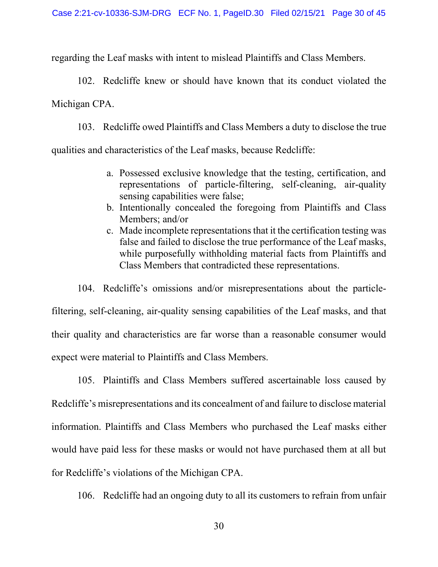regarding the Leaf masks with intent to mislead Plaintiffs and Class Members.

102. Redcliffe knew or should have known that its conduct violated the Michigan CPA.

103. Redcliffe owed Plaintiffs and Class Members a duty to disclose the true qualities and characteristics of the Leaf masks, because Redcliffe:

- a. Possessed exclusive knowledge that the testing, certification, and representations of particle-filtering, self-cleaning, air-quality sensing capabilities were false;
- b. Intentionally concealed the foregoing from Plaintiffs and Class Members; and/or
- c. Made incomplete representations that it the certification testing was false and failed to disclose the true performance of the Leaf masks, while purposefully withholding material facts from Plaintiffs and Class Members that contradicted these representations.

104. Redcliffe's omissions and/or misrepresentations about the particlefiltering, self-cleaning, air-quality sensing capabilities of the Leaf masks, and that their quality and characteristics are far worse than a reasonable consumer would expect were material to Plaintiffs and Class Members.

105. Plaintiffs and Class Members suffered ascertainable loss caused by Redcliffe's misrepresentations and its concealment of and failure to disclose material information. Plaintiffs and Class Members who purchased the Leaf masks either would have paid less for these masks or would not have purchased them at all but for Redcliffe's violations of the Michigan CPA.

106. Redcliffe had an ongoing duty to all its customers to refrain from unfair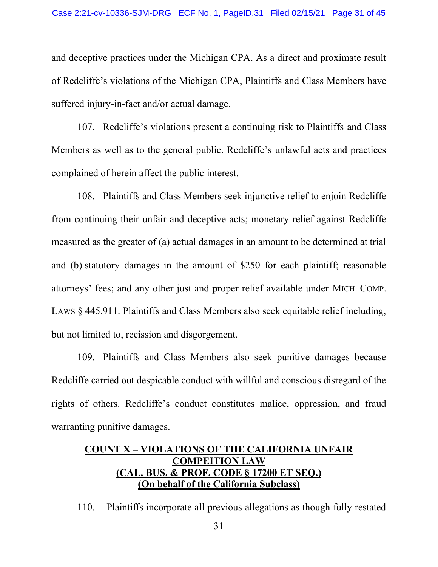and deceptive practices under the Michigan CPA. As a direct and proximate result of Redcliffe's violations of the Michigan CPA, Plaintiffs and Class Members have suffered injury-in-fact and/or actual damage.

107. Redcliffe's violations present a continuing risk to Plaintiffs and Class Members as well as to the general public. Redcliffe's unlawful acts and practices complained of herein affect the public interest.

108. Plaintiffs and Class Members seek injunctive relief to enjoin Redcliffe from continuing their unfair and deceptive acts; monetary relief against Redcliffe measured as the greater of (a) actual damages in an amount to be determined at trial and (b) statutory damages in the amount of \$250 for each plaintiff; reasonable attorneys' fees; and any other just and proper relief available under MICH. COMP. LAWS § 445.911. Plaintiffs and Class Members also seek equitable relief including, but not limited to, recission and disgorgement.

109. Plaintiffs and Class Members also seek punitive damages because Redcliffe carried out despicable conduct with willful and conscious disregard of the rights of others. Redcliffe's conduct constitutes malice, oppression, and fraud warranting punitive damages.

# **COUNT X ± VIOLATIONS OF THE CALIFORNIA UNFAIR COMPEITION LAW (CAL. BUS. & PROF. CODE § 17200 ET SEQ.) (On behalf of the California Subclass)**

110. Plaintiffs incorporate all previous allegations as though fully restated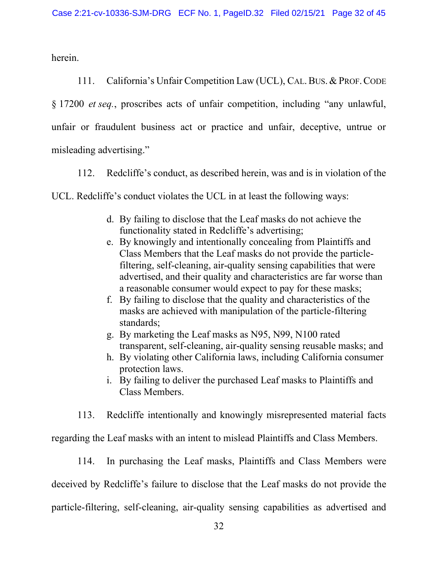herein.

111. California's Unfair Competition Law (UCL), CAL. BUS. & PROF. CODE § 17200 *et seq.*, proscribes acts of unfair competition, including "any unlawful, unfair or fraudulent business act or practice and unfair, deceptive, untrue or misleading advertising."

112. Redcliffe's conduct, as described herein, was and is in violation of the

UCL. Redcliffe's conduct violates the UCL in at least the following ways:

- d. By failing to disclose that the Leaf masks do not achieve the functionality stated in Redcliffe's advertising;
- e. By knowingly and intentionally concealing from Plaintiffs and Class Members that the Leaf masks do not provide the particlefiltering, self-cleaning, air-quality sensing capabilities that were advertised, and their quality and characteristics are far worse than a reasonable consumer would expect to pay for these masks;
- f. By failing to disclose that the quality and characteristics of the masks are achieved with manipulation of the particle-filtering standards;
- g. By marketing the Leaf masks as N95, N99, N100 rated transparent, self-cleaning, air-quality sensing reusable masks; and
- h. By violating other California laws, including California consumer protection laws.
- i. By failing to deliver the purchased Leaf masks to Plaintiffs and Class Members.

113. Redcliffe intentionally and knowingly misrepresented material facts

regarding the Leaf masks with an intent to mislead Plaintiffs and Class Members.

114. In purchasing the Leaf masks, Plaintiffs and Class Members were deceived by Redcliffe's failure to disclose that the Leaf masks do not provide the particle-filtering, self-cleaning, air-quality sensing capabilities as advertised and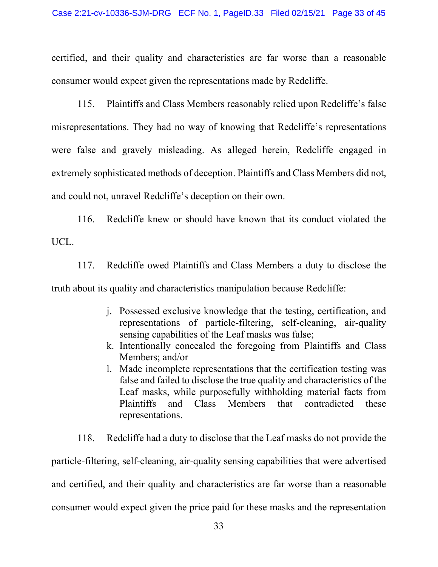certified, and their quality and characteristics are far worse than a reasonable consumer would expect given the representations made by Redcliffe.

115. Plaintiffs and Class Members reasonably relied upon Redcliffe's false misrepresentations. They had no way of knowing that Redcliffe's representations were false and gravely misleading. As alleged herein, Redcliffe engaged in extremely sophisticated methods of deception. Plaintiffs and Class Members did not, and could not, unravel Redcliffe's deception on their own.

116. Redcliffe knew or should have known that its conduct violated the UCL.

117. Redcliffe owed Plaintiffs and Class Members a duty to disclose the truth about its quality and characteristics manipulation because Redcliffe:

- j. Possessed exclusive knowledge that the testing, certification, and representations of particle-filtering, self-cleaning, air-quality sensing capabilities of the Leaf masks was false;
- k. Intentionally concealed the foregoing from Plaintiffs and Class Members; and/or
- l. Made incomplete representations that the certification testing was false and failed to disclose the true quality and characteristics of the Leaf masks, while purposefully withholding material facts from Plaintiffs and Class Members that contradicted these representations.
- 118. Redcliffe had a duty to disclose that the Leaf masks do not provide the

particle-filtering, self-cleaning, air-quality sensing capabilities that were advertised and certified, and their quality and characteristics are far worse than a reasonable consumer would expect given the price paid for these masks and the representation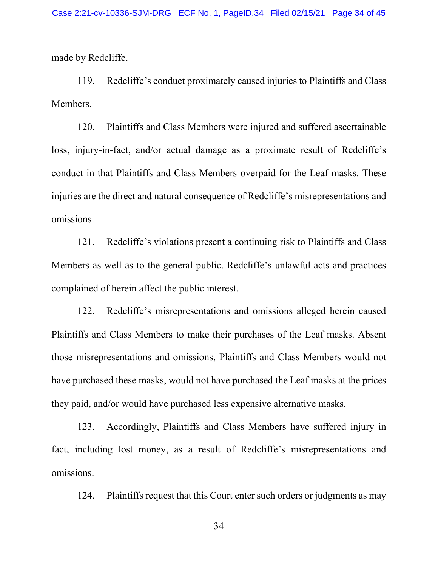made by Redcliffe.

119. Redcliffe's conduct proximately caused injuries to Plaintiffs and Class Members.

120. Plaintiffs and Class Members were injured and suffered ascertainable loss, injury-in-fact, and/or actual damage as a proximate result of Redcliffe's conduct in that Plaintiffs and Class Members overpaid for the Leaf masks. These injuries are the direct and natural consequence of Redcliffe's misrepresentations and omissions.

121. Redcliffe's violations present a continuing risk to Plaintiffs and Class Members as well as to the general public. Redcliffe's unlawful acts and practices complained of herein affect the public interest.

122. Redcliffe's misrepresentations and omissions alleged herein caused Plaintiffs and Class Members to make their purchases of the Leaf masks. Absent those misrepresentations and omissions, Plaintiffs and Class Members would not have purchased these masks, would not have purchased the Leaf masks at the prices they paid, and/or would have purchased less expensive alternative masks.

123. Accordingly, Plaintiffs and Class Members have suffered injury in fact, including lost money, as a result of Redcliffe's misrepresentations and omissions.

124. Plaintiffs request that this Court enter such orders or judgments as may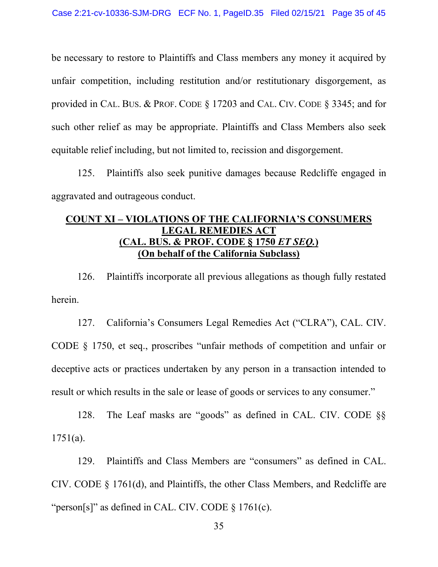be necessary to restore to Plaintiffs and Class members any money it acquired by unfair competition, including restitution and/or restitutionary disgorgement, as provided in CAL. BUS. & PROF. CODE § 17203 and CAL. CIV. CODE § 3345; and for such other relief as may be appropriate. Plaintiffs and Class Members also seek equitable relief including, but not limited to, recission and disgorgement.

125. Plaintiffs also seek punitive damages because Redcliffe engaged in aggravated and outrageous conduct.

# **COUNT XI ± VIOLATIONS OF THE CALIFORNIA¶S CONSUMERS LEGAL REMEDIES ACT (CAL. BUS. & PROF. CODE § 1750** *ET SEQ.***) (On behalf of the California Subclass)**

126. Plaintiffs incorporate all previous allegations as though fully restated herein.

127. California's Consumers Legal Remedies Act ("CLRA"), CAL. CIV. CODE  $\S$  1750, et seq., proscribes "unfair methods of competition and unfair or deceptive acts or practices undertaken by any person in a transaction intended to result or which results in the sale or lease of goods or services to any consumer.<sup>"</sup>

128. The Leaf masks are "goods" as defined in CAL. CIV. CODE  $\S$ 1751(a).

129. Plaintiffs and Class Members are "consumers" as defined in CAL. CIV. CODE § 1761(d), and Plaintiffs, the other Class Members, and Redcliffe are "person[s]" as defined in CAL. CIV. CODE  $\S 1761(c)$ .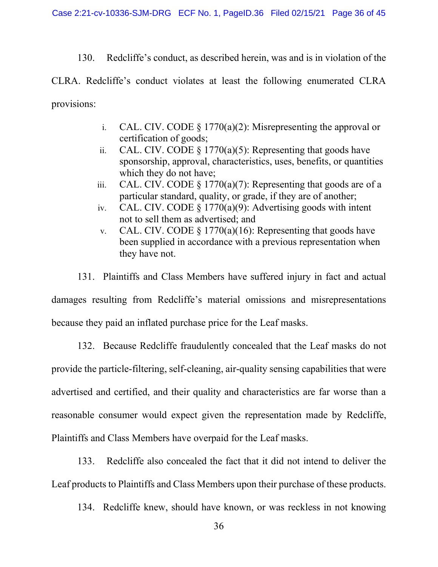130. Redcliffe's conduct, as described herein, was and is in violation of the

CLRA. Redcliffe's conduct violates at least the following enumerated CLRA provisions:

- i. CAL. CIV. CODE  $\S$  1770(a)(2): Misrepresenting the approval or certification of goods;
- ii. CAL. CIV. CODE  $\S$  1770(a)(5): Representing that goods have sponsorship, approval, characteristics, uses, benefits, or quantities which they do not have;
- iii. CAL. CIV. CODE  $\S 1770(a)(7)$ : Representing that goods are of a particular standard, quality, or grade, if they are of another;
- iv. CAL. CIV. CODE § 1770(a)(9): Advertising goods with intent not to sell them as advertised; and
- v. CAL. CIV. CODE  $\S$  1770(a)(16): Representing that goods have been supplied in accordance with a previous representation when they have not.

131. Plaintiffs and Class Members have suffered injury in fact and actual damages resulting from Redcliffe's material omissions and misrepresentations because they paid an inflated purchase price for the Leaf masks.

132. Because Redcliffe fraudulently concealed that the Leaf masks do not provide the particle-filtering, self-cleaning, air-quality sensing capabilities that were advertised and certified, and their quality and characteristics are far worse than a reasonable consumer would expect given the representation made by Redcliffe, Plaintiffs and Class Members have overpaid for the Leaf masks.

133. Redcliffe also concealed the fact that it did not intend to deliver the Leaf products to Plaintiffs and Class Members upon their purchase of these products.

134. Redcliffe knew, should have known, or was reckless in not knowing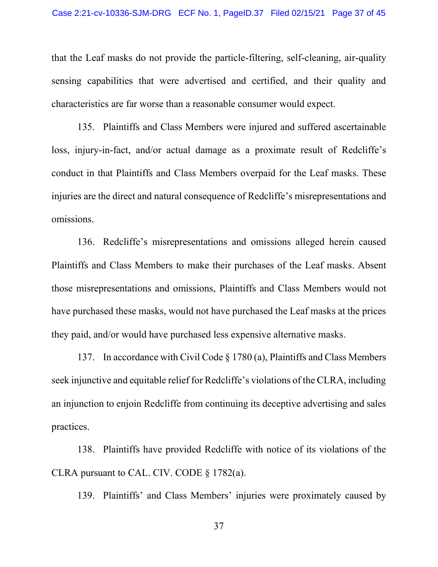that the Leaf masks do not provide the particle-filtering, self-cleaning, air-quality sensing capabilities that were advertised and certified, and their quality and characteristics are far worse than a reasonable consumer would expect.

135. Plaintiffs and Class Members were injured and suffered ascertainable loss, injury-in-fact, and/or actual damage as a proximate result of Redcliffe's conduct in that Plaintiffs and Class Members overpaid for the Leaf masks. These injuries are the direct and natural consequence of Redcliffe's misrepresentations and omissions.

136. Redcliffe's misrepresentations and omissions alleged herein caused Plaintiffs and Class Members to make their purchases of the Leaf masks. Absent those misrepresentations and omissions, Plaintiffs and Class Members would not have purchased these masks, would not have purchased the Leaf masks at the prices they paid, and/or would have purchased less expensive alternative masks.

137. In accordance with Civil Code § 1780 (a), Plaintiffs and Class Members seek injunctive and equitable relief for Redcliffe's violations of the CLRA, including an injunction to enjoin Redcliffe from continuing its deceptive advertising and sales practices.

138. Plaintiffs have provided Redcliffe with notice of its violations of the CLRA pursuant to CAL. CIV. CODE § 1782(a).

139. Plaintiffs' and Class Members' injuries were proximately caused by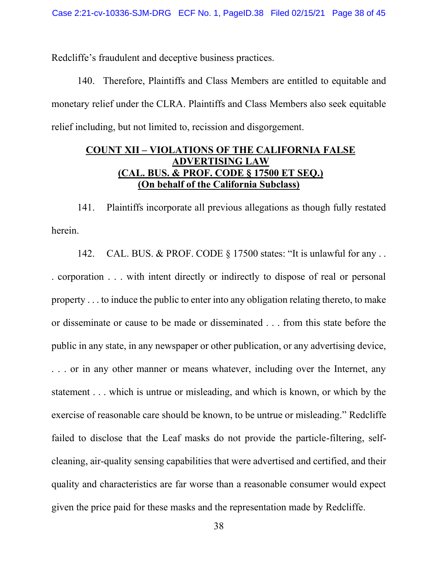Redcliffe's fraudulent and deceptive business practices.

140. Therefore, Plaintiffs and Class Members are entitled to equitable and monetary relief under the CLRA. Plaintiffs and Class Members also seek equitable relief including, but not limited to, recission and disgorgement.

## **COUNT XII ± VIOLATIONS OF THE CALIFORNIA FALSE ADVERTISING LAW (CAL. BUS. & PROF. CODE § 17500 ET SEQ.) (On behalf of the California Subclass)**

141. Plaintiffs incorporate all previous allegations as though fully restated herein.

142. CAL. BUS. & PROF. CODE  $\S$  17500 states: "It is unlawful for any ... . corporation . . . with intent directly or indirectly to dispose of real or personal property . . . to induce the public to enter into any obligation relating thereto, to make or disseminate or cause to be made or disseminated . . . from this state before the public in any state, in any newspaper or other publication, or any advertising device, . . . or in any other manner or means whatever, including over the Internet, any statement . . . which is untrue or misleading, and which is known, or which by the exercise of reasonable care should be known, to be untrue or misleading." Redcliffe failed to disclose that the Leaf masks do not provide the particle-filtering, selfcleaning, air-quality sensing capabilities that were advertised and certified, and their quality and characteristics are far worse than a reasonable consumer would expect given the price paid for these masks and the representation made by Redcliffe.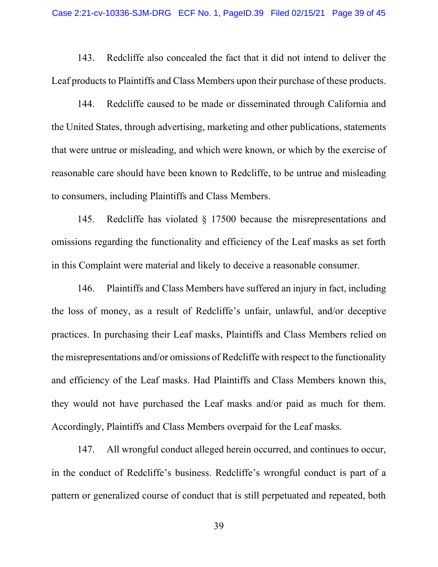143. Redcliffe also concealed the fact that it did not intend to deliver the Leaf products to Plaintiffs and Class Members upon their purchase of these products.

144. Redcliffe caused to be made or disseminated through California and the United States, through advertising, marketing and other publications, statements that were untrue or misleading, and which were known, or which by the exercise of reasonable care should have been known to Redcliffe, to be untrue and misleading to consumers, including Plaintiffs and Class Members.

145. Redcliffe has violated § 17500 because the misrepresentations and omissions regarding the functionality and efficiency of the Leaf masks as set forth in this Complaint were material and likely to deceive a reasonable consumer.

146. Plaintiffs and Class Members have suffered an injury in fact, including the loss of money, as a result of Redcliffe's unfair, unlawful, and/or deceptive practices. In purchasing their Leaf masks, Plaintiffs and Class Members relied on the misrepresentations and/or omissions of Redcliffe with respect to the functionality and efficiency of the Leaf masks. Had Plaintiffs and Class Members known this, they would not have purchased the Leaf masks and/or paid as much for them. Accordingly, Plaintiffs and Class Members overpaid for the Leaf masks.

147. All wrongful conduct alleged herein occurred, and continues to occur, in the conduct of Redcliffe's business. Redcliffe's wrongful conduct is part of a pattern or generalized course of conduct that is still perpetuated and repeated, both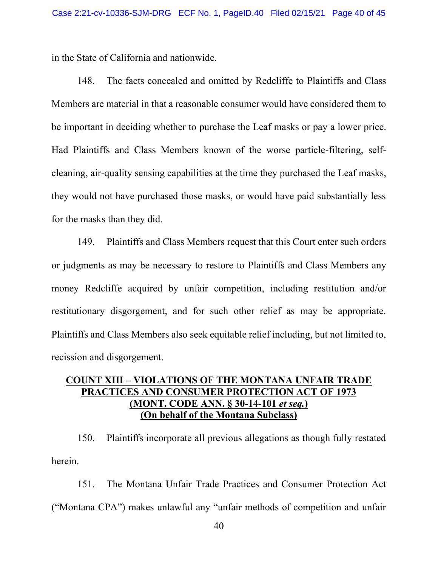in the State of California and nationwide.

148. The facts concealed and omitted by Redcliffe to Plaintiffs and Class Members are material in that a reasonable consumer would have considered them to be important in deciding whether to purchase the Leaf masks or pay a lower price. Had Plaintiffs and Class Members known of the worse particle-filtering, selfcleaning, air-quality sensing capabilities at the time they purchased the Leaf masks, they would not have purchased those masks, or would have paid substantially less for the masks than they did.

149. Plaintiffs and Class Members request that this Court enter such orders or judgments as may be necessary to restore to Plaintiffs and Class Members any money Redcliffe acquired by unfair competition, including restitution and/or restitutionary disgorgement, and for such other relief as may be appropriate. Plaintiffs and Class Members also seek equitable relief including, but not limited to, recission and disgorgement.

# **COUNT XIII ± VIOLATIONS OF THE MONTANA UNFAIR TRADE PRACTICES AND CONSUMER PROTECTION ACT OF 1973 (MONT. CODE ANN. § 30-14-101** *et seq.***) (On behalf of the Montana Subclass)**

150. Plaintiffs incorporate all previous allegations as though fully restated herein.

151. The Montana Unfair Trade Practices and Consumer Protection Act ("Montana CPA") makes unlawful any "unfair methods of competition and unfair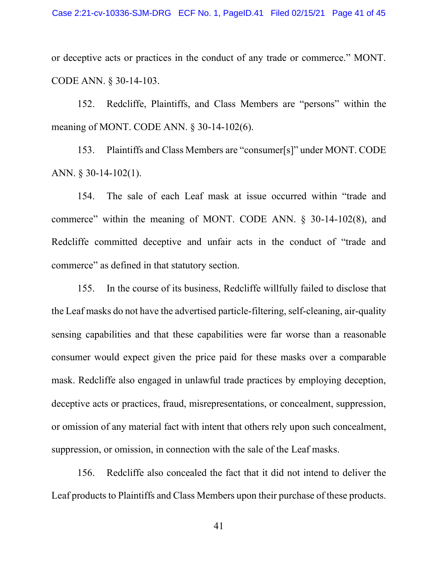or deceptive acts or practices in the conduct of any trade or commerce.<sup>"</sup> MONT. CODE ANN. § 30-14-103.

152. Redcliffe, Plaintiffs, and Class Members are "persons" within the meaning of MONT. CODE ANN. § 30-14-102(6).

153. Plaintiffs and Class Members are "consumer[s]" under MONT. CODE ANN. § 30-14-102(1).

154. The sale of each Leaf mask at issue occurred within "trade and commerce" within the meaning of MONT. CODE ANN.  $\S$  30-14-102(8), and Redcliffe committed deceptive and unfair acts in the conduct of "trade and commerce" as defined in that statutory section.

155. In the course of its business, Redcliffe willfully failed to disclose that the Leaf masks do not have the advertised particle-filtering, self-cleaning, air-quality sensing capabilities and that these capabilities were far worse than a reasonable consumer would expect given the price paid for these masks over a comparable mask. Redcliffe also engaged in unlawful trade practices by employing deception, deceptive acts or practices, fraud, misrepresentations, or concealment, suppression, or omission of any material fact with intent that others rely upon such concealment, suppression, or omission, in connection with the sale of the Leaf masks.

156. Redcliffe also concealed the fact that it did not intend to deliver the Leaf products to Plaintiffs and Class Members upon their purchase of these products.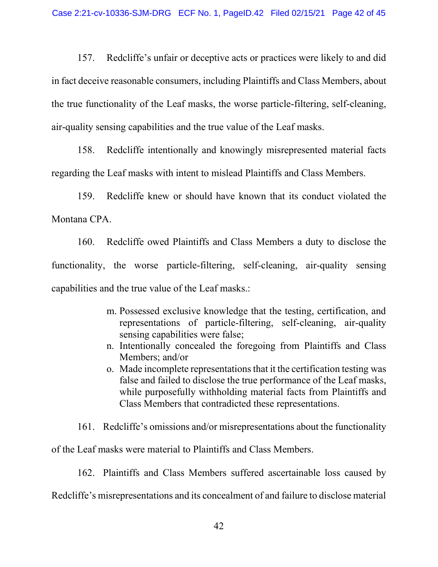157. Redcliffe's unfair or deceptive acts or practices were likely to and did in fact deceive reasonable consumers, including Plaintiffs and Class Members, about the true functionality of the Leaf masks, the worse particle-filtering, self-cleaning, air-quality sensing capabilities and the true value of the Leaf masks.

158. Redcliffe intentionally and knowingly misrepresented material facts regarding the Leaf masks with intent to mislead Plaintiffs and Class Members.

159. Redcliffe knew or should have known that its conduct violated the Montana CPA.

160. Redcliffe owed Plaintiffs and Class Members a duty to disclose the functionality, the worse particle-filtering, self-cleaning, air-quality sensing capabilities and the true value of the Leaf masks.:

- m. Possessed exclusive knowledge that the testing, certification, and representations of particle-filtering, self-cleaning, air-quality sensing capabilities were false;
- n. Intentionally concealed the foregoing from Plaintiffs and Class Members; and/or
- o. Made incomplete representations that it the certification testing was false and failed to disclose the true performance of the Leaf masks, while purposefully withholding material facts from Plaintiffs and Class Members that contradicted these representations.

161. Redcliffe's omissions and/or misrepresentations about the functionality

of the Leaf masks were material to Plaintiffs and Class Members.

162. Plaintiffs and Class Members suffered ascertainable loss caused by

Redcliffe's misrepresentations and its concealment of and failure to disclose material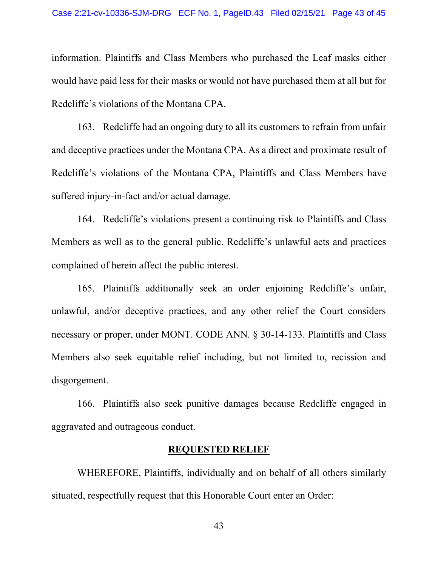information. Plaintiffs and Class Members who purchased the Leaf masks either would have paid less for their masks or would not have purchased them at all but for Redcliffe's violations of the Montana CPA.

163. Redcliffe had an ongoing duty to all its customers to refrain from unfair and deceptive practices under the Montana CPA. As a direct and proximate result of Redcliffe's violations of the Montana CPA, Plaintiffs and Class Members have suffered injury-in-fact and/or actual damage.

164. Redcliffe's violations present a continuing risk to Plaintiffs and Class Members as well as to the general public. Redcliffe's unlawful acts and practices complained of herein affect the public interest.

165. Plaintiffs additionally seek an order enjoining Redcliffe's unfair, unlawful, and/or deceptive practices, and any other relief the Court considers necessary or proper, under MONT. CODE ANN. § 30-14-133. Plaintiffs and Class Members also seek equitable relief including, but not limited to, recission and disgorgement.

166. Plaintiffs also seek punitive damages because Redcliffe engaged in aggravated and outrageous conduct.

### **REQUESTED RELIEF**

WHEREFORE, Plaintiffs, individually and on behalf of all others similarly situated, respectfully request that this Honorable Court enter an Order: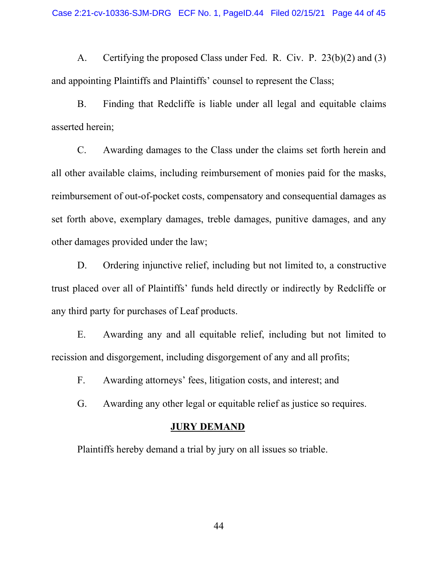A. Certifying the proposed Class under Fed. R. Civ. P. 23(b)(2) and (3) and appointing Plaintiffs and Plaintiffs' counsel to represent the Class;

B. Finding that Redcliffe is liable under all legal and equitable claims asserted herein;

C. Awarding damages to the Class under the claims set forth herein and all other available claims, including reimbursement of monies paid for the masks, reimbursement of out-of-pocket costs, compensatory and consequential damages as set forth above, exemplary damages, treble damages, punitive damages, and any other damages provided under the law;

D. Ordering injunctive relief, including but not limited to, a constructive trust placed over all of Plaintiffs' funds held directly or indirectly by Redcliffe or any third party for purchases of Leaf products.

E. Awarding any and all equitable relief, including but not limited to recission and disgorgement, including disgorgement of any and all profits;

F. Awarding attorneys' fees, litigation costs, and interest; and

G. Awarding any other legal or equitable relief as justice so requires.

#### **JURY DEMAND**

Plaintiffs hereby demand a trial by jury on all issues so triable.